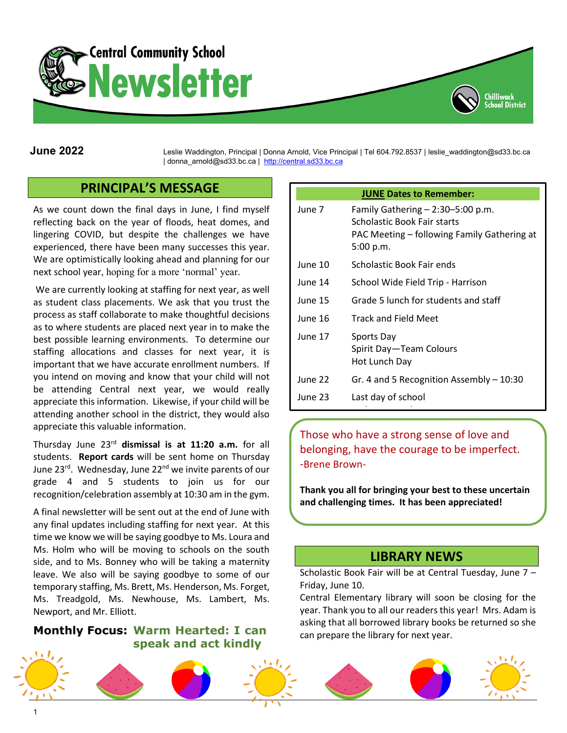



**June 2022** Leslie Waddington, Principal | Donna Arnold, Vice Principal | Tel 604.792.8537 | leslie\_waddington@sd33.bc.ca | donna\_arnold@sd33.bc.ca | [http://central.sd33.bc.ca](http://central.sd33.bc.ca/)

# **PRINCIPAL'S MESSAGE**

As we count down the final days in June, I find myself reflecting back on the year of floods, heat domes, and lingering COVID, but despite the challenges we have experienced, there have been many successes this year. We are optimistically looking ahead and planning for our next school year, hoping for a more 'normal' year.

We are currently looking at staffing for next year, as well as student class placements. We ask that you trust the process as staff collaborate to make thoughtful decisions as to where students are placed next year in to make the best possible learning environments. To determine our staffing allocations and classes for next year, it is important that we have accurate enrollment numbers. If you intend on moving and know that your child will not be attending Central next year, we would really appreciate this information. Likewise, if your child will be attending another school in the district, they would also appreciate this valuable information.

Thursday June 23rd **dismissal is at 11:20 a.m.** for all students. **Report cards** will be sent home on Thursday June 23<sup>rd</sup>. Wednesday, June 22<sup>nd</sup> we invite parents of our grade 4 and 5 students to join us for our recognition/celebration assembly at 10:30 am in the gym.

A final newsletter will be sent out at the end of June with any final updates including staffing for next year. At this time we know we will be saying goodbye to Ms. Loura and Ms. Holm who will be moving to schools on the south side, and to Ms. Bonney who will be taking a maternity leave. We also will be saying goodbye to some of our temporary staffing, Ms. Brett, Ms. Henderson, Ms. Forget, Ms. Treadgold, Ms. Newhouse, Ms. Lambert, Ms. Newport, and Mr. Elliott.

#### **Monthly Focus: Warm Hearted: I can speak and act kindly**

| <b>JUNE Dates to Remember:</b> |                                                                                                                                  |
|--------------------------------|----------------------------------------------------------------------------------------------------------------------------------|
| June 7                         | Family Gathering $- 2:30 - 5:00$ p.m.<br>Scholastic Book Fair starts<br>PAC Meeting – following Family Gathering at<br>5:00 p.m. |
| June 10                        | Scholastic Book Fair ends                                                                                                        |
| June 14                        | School Wide Field Trip - Harrison                                                                                                |
| June 15                        | Grade 5 lunch for students and staff                                                                                             |
| June 16                        | <b>Track and Field Meet</b>                                                                                                      |
| June 17                        | Sports Day<br>Spirit Day—Team Colours<br>Hot Lunch Day                                                                           |
| June 22                        | Gr. 4 and 5 Recognition Assembly $-10:30$                                                                                        |
| June 23                        | Last day of school                                                                                                               |

Those who have a strong sense of love and belonging, have the courage to be imperfect. -Brene Brown-

Ī

**Thank you all for bringing your best to these uncertain and challenging times. It has been appreciated!**

## **LIBRARY NEWS**

Scholastic Book Fair will be at Central Tuesday, June 7 – Friday, June 10.

Central Elementary library will soon be closing for the year. Thank you to all our readers this year! Mrs. Adam is asking that all borrowed library books be returned so she can prepare the library for next year.